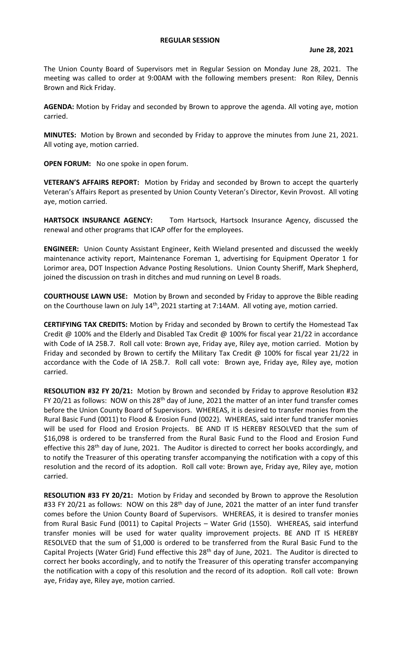The Union County Board of Supervisors met in Regular Session on Monday June 28, 2021. The meeting was called to order at 9:00AM with the following members present: Ron Riley, Dennis Brown and Rick Friday.

**AGENDA:** Motion by Friday and seconded by Brown to approve the agenda. All voting aye, motion carried.

**MINUTES:** Motion by Brown and seconded by Friday to approve the minutes from June 21, 2021. All voting aye, motion carried.

**OPEN FORUM:** No one spoke in open forum.

**VETERAN'S AFFAIRS REPORT:** Motion by Friday and seconded by Brown to accept the quarterly Veteran's Affairs Report as presented by Union County Veteran's Director, Kevin Provost. All voting aye, motion carried.

**HARTSOCK INSURANCE AGENCY:** Tom Hartsock, Hartsock Insurance Agency, discussed the renewal and other programs that ICAP offer for the employees.

**ENGINEER:** Union County Assistant Engineer, Keith Wieland presented and discussed the weekly maintenance activity report, Maintenance Foreman 1, advertising for Equipment Operator 1 for Lorimor area, DOT Inspection Advance Posting Resolutions. Union County Sheriff, Mark Shepherd, joined the discussion on trash in ditches and mud running on Level B roads.

**COURTHOUSE LAWN USE:** Motion by Brown and seconded by Friday to approve the Bible reading on the Courthouse lawn on July 14<sup>th</sup>, 2021 starting at 7:14AM. All voting aye, motion carried.

**CERTIFYING TAX CREDITS:** Motion by Friday and seconded by Brown to certify the Homestead Tax Credit @ 100% and the Elderly and Disabled Tax Credit @ 100% for fiscal year 21/22 in accordance with Code of IA 25B.7. Roll call vote: Brown aye, Friday aye, Riley aye, motion carried. Motion by Friday and seconded by Brown to certify the Military Tax Credit @ 100% for fiscal year 21/22 in accordance with the Code of IA 25B.7. Roll call vote: Brown aye, Friday aye, Riley aye, motion carried.

**RESOLUTION #32 FY 20/21:** Motion by Brown and seconded by Friday to approve Resolution #32 FY 20/21 as follows: NOW on this  $28<sup>th</sup>$  day of June, 2021 the matter of an inter fund transfer comes before the Union County Board of Supervisors. WHEREAS, it is desired to transfer monies from the Rural Basic Fund (0011) to Flood & Erosion Fund (0022). WHEREAS, said inter fund transfer monies will be used for Flood and Erosion Projects. BE AND IT IS HEREBY RESOLVED that the sum of \$16,098 is ordered to be transferred from the Rural Basic Fund to the Flood and Erosion Fund effective this 28<sup>th</sup> day of June, 2021. The Auditor is directed to correct her books accordingly, and to notify the Treasurer of this operating transfer accompanying the notification with a copy of this resolution and the record of its adoption. Roll call vote: Brown aye, Friday aye, Riley aye, motion carried.

**RESOLUTION #33 FY 20/21:** Motion by Friday and seconded by Brown to approve the Resolution #33 FY 20/21 as follows: NOW on this 28<sup>th</sup> day of June, 2021 the matter of an inter fund transfer comes before the Union County Board of Supervisors. WHEREAS, it is desired to transfer monies from Rural Basic Fund (0011) to Capital Projects – Water Grid (1550). WHEREAS, said interfund transfer monies will be used for water quality improvement projects. BE AND IT IS HEREBY RESOLVED that the sum of \$1,000 is ordered to be transferred from the Rural Basic Fund to the Capital Projects (Water Grid) Fund effective this 28<sup>th</sup> day of June, 2021. The Auditor is directed to correct her books accordingly, and to notify the Treasurer of this operating transfer accompanying the notification with a copy of this resolution and the record of its adoption. Roll call vote: Brown aye, Friday aye, Riley aye, motion carried.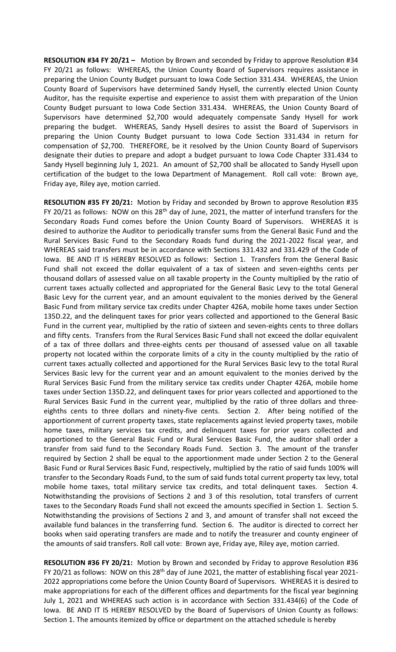**RESOLUTION #34 FY 20/21 –** Motion by Brown and seconded by Friday to approve Resolution #34 FY 20/21 as follows: WHEREAS, the Union County Board of Supervisors requires assistance in preparing the Union County Budget pursuant to Iowa Code Section 331.434. WHEREAS, the Union County Board of Supervisors have determined Sandy Hysell, the currently elected Union County Auditor, has the requisite expertise and experience to assist them with preparation of the Union County Budget pursuant to Iowa Code Section 331.434. WHEREAS, the Union County Board of Supervisors have determined \$2,700 would adequately compensate Sandy Hysell for work preparing the budget. WHEREAS, Sandy Hysell desires to assist the Board of Supervisors in preparing the Union County Budget pursuant to Iowa Code Section 331.434 in return for compensation of \$2,700. THEREFORE, be it resolved by the Union County Board of Supervisors designate their duties to prepare and adopt a budget pursuant to Iowa Code Chapter 331.434 to Sandy Hysell beginning July 1, 2021. An amount of \$2,700 shall be allocated to Sandy Hysell upon certification of the budget to the Iowa Department of Management. Roll call vote: Brown aye, Friday aye, Riley aye, motion carried.

**RESOLUTION #35 FY 20/21:** Motion by Friday and seconded by Brown to approve Resolution #35 FY 20/21 as follows: NOW on this  $28<sup>th</sup>$  day of June, 2021, the matter of interfund transfers for the Secondary Roads Fund comes before the Union County Board of Supervisors. WHEREAS it is desired to authorize the Auditor to periodically transfer sums from the General Basic Fund and the Rural Services Basic Fund to the Secondary Roads fund during the 2021-2022 fiscal year, and WHEREAS said transfers must be in accordance with Sections 331.432 and 331.429 of the Code of Iowa. BE AND IT IS HEREBY RESOLVED as follows: Section 1. Transfers from the General Basic Fund shall not exceed the dollar equivalent of a tax of sixteen and seven-eighths cents per thousand dollars of assessed value on all taxable property in the County multiplied by the ratio of current taxes actually collected and appropriated for the General Basic Levy to the total General Basic Levy for the current year, and an amount equivalent to the monies derived by the General Basic Fund from military service tax credits under Chapter 426A, mobile home taxes under Section 135D.22, and the delinquent taxes for prior years collected and apportioned to the General Basic Fund in the current year, multiplied by the ratio of sixteen and seven-eights cents to three dollars and fifty cents. Transfers from the Rural Services Basic Fund shall not exceed the dollar equivalent of a tax of three dollars and three-eights cents per thousand of assessed value on all taxable property not located within the corporate limits of a city in the county multiplied by the ratio of current taxes actually collected and apportioned for the Rural Services Basic levy to the total Rural Services Basic levy for the current year and an amount equivalent to the monies derived by the Rural Services Basic Fund from the military service tax credits under Chapter 426A, mobile home taxes under Section 135D.22, and delinquent taxes for prior years collected and apportioned to the Rural Services Basic Fund in the current year, multiplied by the ratio of three dollars and threeeighths cents to three dollars and ninety-five cents. Section 2. After being notified of the apportionment of current property taxes, state replacements against levied property taxes, mobile home taxes, military services tax credits, and delinquent taxes for prior years collected and apportioned to the General Basic Fund or Rural Services Basic Fund, the auditor shall order a transfer from said fund to the Secondary Roads Fund. Section 3. The amount of the transfer required by Section 2 shall be equal to the apportionment made under Section 2 to the General Basic Fund or Rural Services Basic Fund, respectively, multiplied by the ratio of said funds 100% will transfer to the Secondary Roads Fund, to the sum of said funds total current property tax levy, total mobile home taxes, total military service tax credits, and total delinquent taxes. Section 4. Notwithstanding the provisions of Sections 2 and 3 of this resolution, total transfers of current taxes to the Secondary Roads Fund shall not exceed the amounts specified in Section 1. Section 5. Notwithstanding the provisions of Sections 2 and 3, and amount of transfer shall not exceed the available fund balances in the transferring fund. Section 6. The auditor is directed to correct her books when said operating transfers are made and to notify the treasurer and county engineer of the amounts of said transfers. Roll call vote: Brown aye, Friday aye, Riley aye, motion carried.

**RESOLUTION #36 FY 20/21:** Motion by Brown and seconded by Friday to approve Resolution #36 FY 20/21 as follows: NOW on this 28<sup>th</sup> day of June 2021, the matter of establishing fiscal year 2021-2022 appropriations come before the Union County Board of Supervisors. WHEREAS it is desired to make appropriations for each of the different offices and departments for the fiscal year beginning July 1, 2021 and WHEREAS such action is in accordance with Section 331.434(6) of the Code of Iowa. BE AND IT IS HEREBY RESOLVED by the Board of Supervisors of Union County as follows: Section 1. The amounts itemized by office or department on the attached schedule is hereby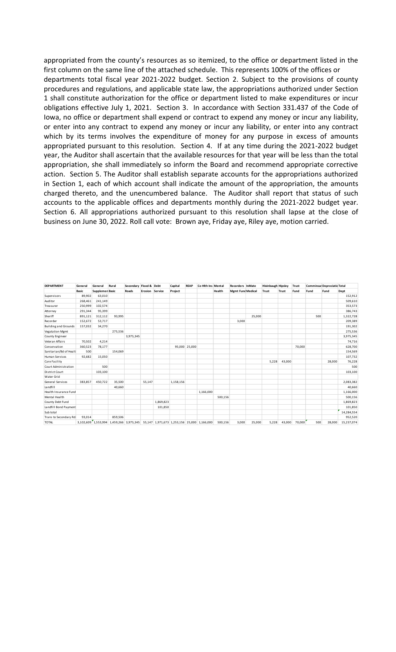appropriated from the county's resources as so itemized, to the office or department listed in the first column on the same line of the attached schedule. This represents 100% of the offices or departments total fiscal year 2021-2022 budget. Section 2. Subject to the provisions of county procedures and regulations, and applicable state law, the appropriations authorized under Section 1 shall constitute authorization for the office or department listed to make expenditures or incur obligations effective July 1, 2021. Section 3. In accordance with Section 331.437 of the Code of Iowa, no office or department shall expend or contract to expend any money or incur any liability, or enter into any contract to expend any money or incur any liability, or enter into any contract which by its terms involves the expenditure of money for any purpose in excess of amounts appropriated pursuant to this resolution. Section 4. If at any time during the 2021-2022 budget year, the Auditor shall ascertain that the available resources for that year will be less than the total appropriation, she shall immediately so inform the Board and recommend appropriate corrective action. Section 5. The Auditor shall establish separate accounts for the appropriations authorized in Section 1, each of which account shall indicate the amount of the appropriation, the amounts charged thereto, and the unencumbered balance. The Auditor shall report that status of such accounts to the applicable offices and departments monthly during the 2021-2022 budget year. Section 6. All appropriations authorized pursuant to this resolution shall lapse at the close of business on June 30, 2022. Roll call vote: Brown aye, Friday aye, Riley aye, motion carried.

| <b>DEPARTMENT</b>           | General      | General                | Rural                                                                               | Secondary Flood & Debt |                        |           | Capital   | <b>REAP</b>   | Co Hith ins Mental |         | Recorders InMate         |        | Hixinbaugh Hipsley |              | Trust  |      | <b>Comminsar Depreciatic Total</b> |            |
|-----------------------------|--------------|------------------------|-------------------------------------------------------------------------------------|------------------------|------------------------|-----------|-----------|---------------|--------------------|---------|--------------------------|--------|--------------------|--------------|--------|------|------------------------------------|------------|
|                             | <b>Basic</b> | <b>Supplemen Basic</b> |                                                                                     | Roads                  | <b>Erosion Service</b> |           | Project   |               |                    | Health  | <b>Mgmt Fund Medical</b> |        | Trust              | <b>Trust</b> | Fund   | Fund | Fund                               | Dept       |
| Supervisors                 | 89,902       | 63,010                 |                                                                                     |                        |                        |           |           |               |                    |         |                          |        |                    |              |        |      |                                    | 152,912    |
| Auditor                     | 268,461      | 241,149                |                                                                                     |                        |                        |           |           |               |                    |         |                          |        |                    |              |        |      |                                    | 509,610    |
| Treasurer                   | 250,999      | 102,574                |                                                                                     |                        |                        |           |           |               |                    |         |                          |        |                    |              |        |      |                                    | 353,573    |
| Attorney                    | 291,344      | 95,399                 |                                                                                     |                        |                        |           |           |               |                    |         |                          |        |                    |              |        |      |                                    | 386,743    |
| Sheriff                     | 891,121      | 312,112                | 93,995                                                                              |                        |                        |           |           |               |                    |         |                          | 25,000 |                    |              |        | 500  |                                    | 1,322,728  |
| Recorder                    | 152,672      | 53,717                 |                                                                                     |                        |                        |           |           |               |                    |         | 3,000                    |        |                    |              |        |      |                                    | 209,389    |
| <b>Building and Grounds</b> | 157,032      | 34,270                 |                                                                                     |                        |                        |           |           |               |                    |         |                          |        |                    |              |        |      |                                    | 191,302    |
| <b>Vegatation Mgmt</b>      |              |                        | 275.536                                                                             |                        |                        |           |           |               |                    |         |                          |        |                    |              |        |      |                                    | 275,536    |
| County Engineer             |              |                        |                                                                                     | 3,975,345              |                        |           |           |               |                    |         |                          |        |                    |              |        |      |                                    | 3,975,345  |
| Veteran Affairs             | 70,502       | 4.214                  |                                                                                     |                        |                        |           |           |               |                    |         |                          |        |                    |              |        |      |                                    | 74,716     |
| Conservation                | 360,523      | 78,177                 |                                                                                     |                        |                        |           |           | 95,000 25,000 |                    |         |                          |        |                    |              | 70,000 |      |                                    | 628,700    |
| Sanitarian/Bd of Healt      | 500          |                        | 154,069                                                                             |                        |                        |           |           |               |                    |         |                          |        |                    |              |        |      |                                    | 154,569    |
| Human Services              | 92,682       | 15,050                 |                                                                                     |                        |                        |           |           |               |                    |         |                          |        |                    |              |        |      |                                    | 107,732    |
| Care Facility               |              |                        |                                                                                     |                        |                        |           |           |               |                    |         |                          |        | 5,228              | 43,000       |        |      | 28,000                             | 76,228     |
| Court Administration        |              | 500                    |                                                                                     |                        |                        |           |           |               |                    |         |                          |        |                    |              |        |      |                                    | 500        |
| <b>District Court</b>       |              | 103,100                |                                                                                     |                        |                        |           |           |               |                    |         |                          |        |                    |              |        |      |                                    | 103,100    |
| Water Grid                  |              |                        |                                                                                     |                        |                        |           |           |               |                    |         |                          |        |                    |              |        |      |                                    |            |
| General Services            | 383,857      | 450,722                | 35,500                                                                              |                        | 55,147                 |           | 1,158,156 |               |                    |         |                          |        |                    |              |        |      |                                    | 2,083,382  |
| Landfill                    |              |                        | 40,660                                                                              |                        |                        |           |           |               |                    |         |                          |        |                    |              |        |      |                                    | 40,660     |
| Health Insurance Fund       |              |                        |                                                                                     |                        |                        |           |           |               | 1,166,000          |         |                          |        |                    |              |        |      |                                    | 1,166,000  |
| Mental Health               |              |                        |                                                                                     |                        |                        |           |           |               |                    | 500.156 |                          |        |                    |              |        |      |                                    | 500,156    |
| County Debt Fund            |              |                        |                                                                                     |                        |                        | 1,869,823 |           |               |                    |         |                          |        |                    |              |        |      |                                    | 1,869,823  |
| Landfill Bond Payment       |              |                        |                                                                                     |                        |                        | 101,850   |           |               |                    |         |                          |        |                    |              |        |      |                                    | 101,850    |
| Sub total                   |              |                        |                                                                                     |                        |                        |           |           |               |                    |         |                          |        |                    |              |        |      |                                    | 14,284,554 |
| Trans to Secondary Rd:      | 93,014       |                        | 859,506                                                                             |                        |                        |           |           |               |                    |         |                          |        |                    |              |        |      |                                    | 952,520    |
| <b>TOTAL</b>                |              |                        | 3,102,609 1,553,994 1,459,266 3,975,345 55,147 1,971,673 1,253,156 25,000 1,166,000 |                        |                        |           |           |               |                    | 500,156 | 3,000                    | 25,000 | 5,228              | 43,000       | 70,000 | 500  | 28,000                             | 15,237,074 |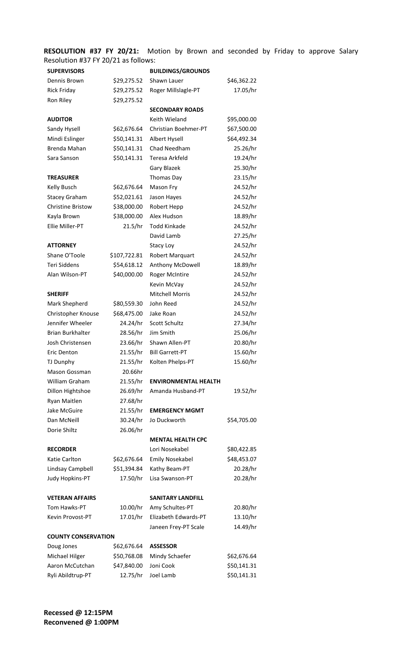**RESOLUTION #37 FY 20/21:** Motion by Brown and seconded by Friday to approve Salary Resolution #37 FY 20/21 as follows:

| <b>SUPERVISORS</b>         |              | <b>BUILDINGS/GROUNDS</b>    |             |
|----------------------------|--------------|-----------------------------|-------------|
| Dennis Brown               | \$29,275.52  | Shawn Lauer                 | \$46,362.22 |
| <b>Rick Friday</b>         | \$29,275.52  | Roger Millslagle-PT         | 17.05/hr    |
| Ron Riley                  | \$29,275.52  |                             |             |
|                            |              | <b>SECONDARY ROADS</b>      |             |
| <b>AUDITOR</b>             |              | Keith Wieland               | \$95,000.00 |
| Sandy Hysell               | \$62,676.64  | Christian Boehmer-PT        | \$67,500.00 |
| Mindi Eslinger             | \$50,141.31  | Albert Hysell               | \$64,492.34 |
| Brenda Mahan               | \$50,141.31  | Chad Needham                | 25.26/hr    |
| Sara Sanson                | \$50,141.31  | Teresa Arkfeld              | 19.24/hr    |
|                            |              | Gary Blazek                 | 25.30/hr    |
| <b>TREASURER</b>           |              | Thomas Day                  | 23.15/hr    |
| Kelly Busch                | \$62,676.64  | Mason Fry                   | 24.52/hr    |
| <b>Stacey Graham</b>       | \$52,021.61  | Jason Hayes                 | 24.52/hr    |
| <b>Christine Bristow</b>   | \$38,000.00  | Robert Hepp                 | 24.52/hr    |
| Kayla Brown                | \$38,000.00  | Alex Hudson                 | 18.89/hr    |
| Ellie Miller-PT            | 21.5/hr      | <b>Todd Kinkade</b>         | 24.52/hr    |
|                            |              | David Lamb                  | 27.25/hr    |
| <b>ATTORNEY</b>            |              | Stacy Loy                   | 24.52/hr    |
| Shane O'Toole              | \$107,722.81 | Robert Marquart             | 24.52/hr    |
| <b>Teri Siddens</b>        | \$54,618.12  | Anthony McDowell            | 18.89/hr    |
| Alan Wilson-PT             | \$40,000.00  | <b>Roger McIntire</b>       | 24.52/hr    |
|                            |              | Kevin McVay                 | 24.52/hr    |
| <b>SHERIFF</b>             |              | <b>Mitchell Morris</b>      | 24.52/hr    |
| Mark Shepherd              | \$80,559.30  | John Reed                   | 24.52/hr    |
| Christopher Knouse         | \$68,475.00  | Jake Roan                   | 24.52/hr    |
| Jennifer Wheeler           | 24.24/hr     | Scott Schultz               | 27.34/hr    |
| <b>Brian Burkhalter</b>    | 28.56/hr     | Jim Smith                   | 25.06/hr    |
| Josh Christensen           | 23.66/hr     | Shawn Allen-PT              | 20.80/hr    |
| <b>Eric Denton</b>         | 21.55/hr     | <b>Bill Garrett-PT</b>      | 15.60/hr    |
| TJ Dunphy                  | 21.55/hr     | Kolten Phelps-PT            | 15.60/hr    |
| Mason Gossman              | 20.66hr      |                             |             |
| William Graham             | 21.55/hr     | <b>ENVIRONMENTAL HEALTH</b> |             |
| Dillon Hightshoe           | 26.69/hr     | Amanda Husband-PT           | 19.52/hr    |
| Ryan Maitlen               | 27.68/hr     |                             |             |
| Jake McGuire               | 21.55/hr     | <b>EMERGENCY MGMT</b>       |             |
| Dan McNeill                | 30.24/hr     | Jo Duckworth                | \$54,705.00 |
| Dorie Shiltz               | 26.06/hr     |                             |             |
|                            |              | <b>MENTAL HEALTH CPC</b>    |             |
| <b>RECORDER</b>            |              | Lori Nosekabel              | \$80,422.85 |
| Katie Carlton              | \$62,676.64  | <b>Emily Nosekabel</b>      | \$48,453.07 |
| Lindsay Campbell           | \$51,394.84  | Kathy Beam-PT               | 20.28/hr    |
| Judy Hopkins-PT            | 17.50/hr     | Lisa Swanson-PT             | 20.28/hr    |
|                            |              |                             |             |
| <b>VETERAN AFFAIRS</b>     |              | <b>SANITARY LANDFILL</b>    |             |
| Tom Hawks-PT               | 10.00/hr     | Amy Schultes-PT             | 20.80/hr    |
| Kevin Provost-PT           | 17.01/hr     | Elizabeth Edwards-PT        | 13.10/hr    |
|                            |              | Janeen Frey-PT Scale        | 14.49/hr    |
| <b>COUNTY CONSERVATION</b> |              |                             |             |
| Doug Jones                 | \$62,676.64  | <b>ASSESSOR</b>             |             |
| Michael Hilger             | \$50,768.08  | Mindy Schaefer              | \$62,676.64 |
| Aaron McCutchan            | \$47,840.00  | Joni Cook                   | \$50,141.31 |
| Ryli Abildtrup-PT          | 12.75/hr     | Joel Lamb                   | \$50,141.31 |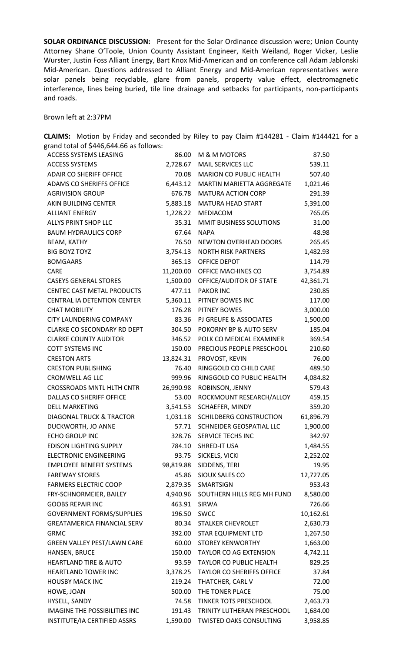**SOLAR ORDINANCE DISCUSSION:** Present for the Solar Ordinance discussion were; Union County Attorney Shane O'Toole, Union County Assistant Engineer, Keith Weiland, Roger Vicker, Leslie Wurster, Justin Foss Alliant Energy, Bart Knox Mid-American and on conference call Adam Jablonski Mid-American. Questions addressed to Alliant Energy and Mid-American representatives were solar panels being recyclable, glare from panels, property value effect, electromagnetic interference, lines being buried, tile line drainage and setbacks for participants, non-participants and roads.

Brown left at 2:37PM

| grand total of \$446,644.66 as follows: |           |                                |           |
|-----------------------------------------|-----------|--------------------------------|-----------|
| <b>ACCESS SYSTEMS LEASING</b>           | 86.00     | M & M MOTORS                   | 87.50     |
| <b>ACCESS SYSTEMS</b>                   | 2,728.67  | <b>MAIL SERVICES LLC</b>       | 539.11    |
| <b>ADAIR CO SHERIFF OFFICE</b>          | 70.08     | <b>MARION CO PUBLIC HEALTH</b> | 507.40    |
| ADAMS CO SHERIFFS OFFICE                | 6,443.12  | MARTIN MARIETTA AGGREGATE      | 1,021.46  |
| <b>AGRIVISION GROUP</b>                 | 676.78    | <b>MATURA ACTION CORP</b>      | 291.39    |
| AKIN BUILDING CENTER                    | 5,883.18  | <b>MATURA HEAD START</b>       | 5,391.00  |
| <b>ALLIANT ENERGY</b>                   | 1,228.22  | MEDIACOM                       | 765.05    |
| ALLYS PRINT SHOP LLC                    | 35.31     | MMIT BUSINESS SOLUTIONS        | 31.00     |
| <b>BAUM HYDRAULICS CORP</b>             | 67.64     | <b>NAPA</b>                    | 48.98     |
| <b>BEAM, KATHY</b>                      | 76.50     | <b>NEWTON OVERHEAD DOORS</b>   | 265.45    |
| <b>BIG BOYZ TOYZ</b>                    | 3,754.13  | <b>NORTH RISK PARTNERS</b>     | 1,482.93  |
| <b>BOMGAARS</b>                         | 365.13    | OFFICE DEPOT                   | 114.79    |
| <b>CARE</b>                             | 11,200.00 | OFFICE MACHINES CO             | 3,754.89  |
| <b>CASEYS GENERAL STORES</b>            | 1,500.00  | OFFICE/AUDITOR OF STATE        | 42,361.71 |
| <b>CENTEC CAST METAL PRODUCTS</b>       | 477.11    | <b>PAKOR INC</b>               | 230.85    |
| <b>CENTRAL IA DETENTION CENTER</b>      | 5,360.11  | PITNEY BOWES INC               | 117.00    |
| <b>CHAT MOBILITY</b>                    | 176.28    | PITNEY BOWES                   | 3,000.00  |
| <b>CITY LAUNDERING COMPANY</b>          | 83.36     | PJ GREUFE & ASSOCIATES         | 1,500.00  |
| CLARKE CO SECONDARY RD DEPT             | 304.50    | POKORNY BP & AUTO SERV         | 185.04    |
| <b>CLARKE COUNTY AUDITOR</b>            | 346.52    | POLK CO MEDICAL EXAMINER       | 369.54    |
| <b>COTT SYSTEMS INC</b>                 | 150.00    | PRECIOUS PEOPLE PRESCHOOL      | 210.60    |
| <b>CRESTON ARTS</b>                     | 13,824.31 | PROVOST, KEVIN                 | 76.00     |
| <b>CRESTON PUBLISHING</b>               | 76.40     | RINGGOLD CO CHILD CARE         | 489.50    |
| <b>CROMWELL AG LLC</b>                  | 999.96    | RINGGOLD CO PUBLIC HEALTH      | 4,084.82  |
| <b>CROSSROADS MNTL HLTH CNTR</b>        | 26,990.98 | ROBINSON, JENNY                | 579.43    |
| DALLAS CO SHERIFF OFFICE                | 53.00     | ROCKMOUNT RESEARCH/ALLOY       | 459.15    |
| <b>DELL MARKETING</b>                   | 3,541.53  | SCHAEFER, MINDY                | 359.20    |
| <b>DIAGONAL TRUCK &amp; TRACTOR</b>     | 1,031.18  | SCHILDBERG CONSTRUCTION        | 61,896.79 |
| DUCKWORTH, JO ANNE                      | 57.71     | SCHNEIDER GEOSPATIAL LLC       | 1,900.00  |
| <b>ECHO GROUP INC</b>                   | 328.76    | SERVICE TECHS INC              | 342.97    |
| <b>EDISON LIGHTING SUPPLY</b>           | 784.10    | SHRED-IT USA                   | 1,484.55  |
| <b>ELECTRONIC ENGINEERING</b>           | 93.75     | SICKELS, VICKI                 | 2,252.02  |
| <b>EMPLOYEE BENEFIT SYSTEMS</b>         | 98,819.88 | SIDDENS, TERI                  | 19.95     |
| <b>FAREWAY STORES</b>                   | 45.86     | SIOUX SALES CO                 | 12,727.05 |
| <b>FARMERS ELECTRIC COOP</b>            | 2,879.35  | <b>SMARTSIGN</b>               | 953.43    |
| FRY-SCHNORMEIER, BAILEY                 | 4,940.96  | SOUTHERN HILLS REG MH FUND     | 8,580.00  |
| <b>GOOBS REPAIR INC</b>                 | 463.91    | SIRWA                          | 726.66    |
| <b>GOVERNMENT FORMS/SUPPLIES</b>        | 196.50    | <b>SWCC</b>                    | 10,162.61 |
| <b>GREATAMERICA FINANCIAL SERV</b>      | 80.34     | STALKER CHEVROLET              | 2,630.73  |
| <b>GRMC</b>                             | 392.00    | <b>STAR EQUIPMENT LTD</b>      | 1,267.50  |
| GREEN VALLEY PEST/LAWN CARE             | 60.00     | <b>STOREY KENWORTHY</b>        | 1,663.00  |
| HANSEN, BRUCE                           | 150.00    | TAYLOR CO AG EXTENSION         | 4,742.11  |
| <b>HEARTLAND TIRE &amp; AUTO</b>        | 93.59     | TAYLOR CO PUBLIC HEALTH        | 829.25    |
| <b>HEARTLAND TOWER INC</b>              | 3,378.25  | TAYLOR CO SHERIFFS OFFICE      | 37.84     |
| <b>HOUSBY MACK INC</b>                  | 219.24    | THATCHER, CARL V               | 72.00     |
| HOWE, JOAN                              | 500.00    | THE TONER PLACE                | 75.00     |
| HYSELL, SANDY                           | 74.58     | <b>TINKER TOTS PRESCHOOL</b>   | 2,463.73  |
| IMAGINE THE POSSIBILITIES INC           | 191.43    | TRINITY LUTHERAN PRESCHOOL     | 1,684.00  |
| INSTITUTE/IA CERTIFIED ASSRS            | 1,590.00  | TWISTED OAKS CONSULTING        | 3,958.85  |

**CLAIMS:** Motion by Friday and seconded by Riley to pay Claim #144281 - Claim #144421 for a grand total of \$446,644.66 as follows: